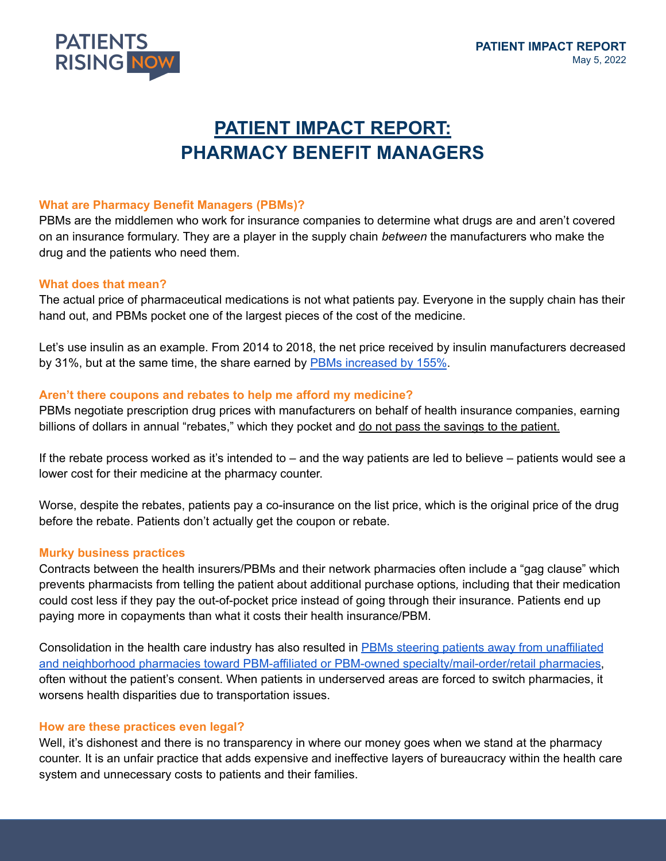

# **PATIENT IMPACT REPORT: PHARMACY BENEFIT MANAGERS**

### **What are Pharmacy Benefit Managers (PBMs)?**

PBMs are the middlemen who work for insurance companies to determine what drugs are and aren't covered on an insurance formulary. They are a player in the supply chain *between* the manufacturers who make the drug and the patients who need them.

#### **What does that mean?**

The actual price of pharmaceutical medications is not what patients pay. Everyone in the supply chain has their hand out, and PBMs pocket one of the largest pieces of the cost of the medicine.

Let's use insulin as an example. From 2014 to 2018, the net price received by insulin manufacturers decreased by 31%, but at the same time, the share earned by PBMs [increased](https://jamanetwork.com/journals/jama-health-forum/fullarticle/2785932) by 155%.

### **Aren't there coupons and rebates to help me afford my medicine?**

PBMs negotiate prescription drug prices with manufacturers on behalf of health insurance companies, earning billions of dollars in annual "rebates," which they pocket and do not pass the savings to the patient.

If the rebate process worked as it's intended to – and the way patients are led to believe – patients would see a lower cost for their medicine at the pharmacy counter.

Worse, despite the rebates, patients pay a co-insurance on the list price, which is the original price of the drug before the rebate. Patients don't actually get the coupon or rebate.

#### **Murky business practices**

Contracts between the health insurers/PBMs and their network pharmacies often include a "gag clause" which prevents pharmacists from telling the patient about additional purchase options*,* including that their medication could cost less if they pay the out-of-pocket price instead of going through their insurance. Patients end up paying more in copayments than what it costs their health insurance/PBM.

Consolidation in the health care industry has also resulted in PBMs steering patients away from [unaffiliated](https://www.drugchannels.net/2018/03/the-top-15-specialty-pharmacies-of-2017.html) and neighborhood pharmacies toward PBM-affiliated or PBM-owned [specialty/mail-order/retail](https://www.drugchannels.net/2018/03/the-top-15-specialty-pharmacies-of-2017.html) pharmacies, often without the patient's consent. When patients in underserved areas are forced to switch pharmacies, it worsens health disparities due to transportation issues.

#### **How are these practices even legal?**

Well, it's dishonest and there is no transparency in where our money goes when we stand at the pharmacy counter. It is an unfair practice that adds expensive and ineffective layers of bureaucracy within the health care system and unnecessary costs to patients and their families.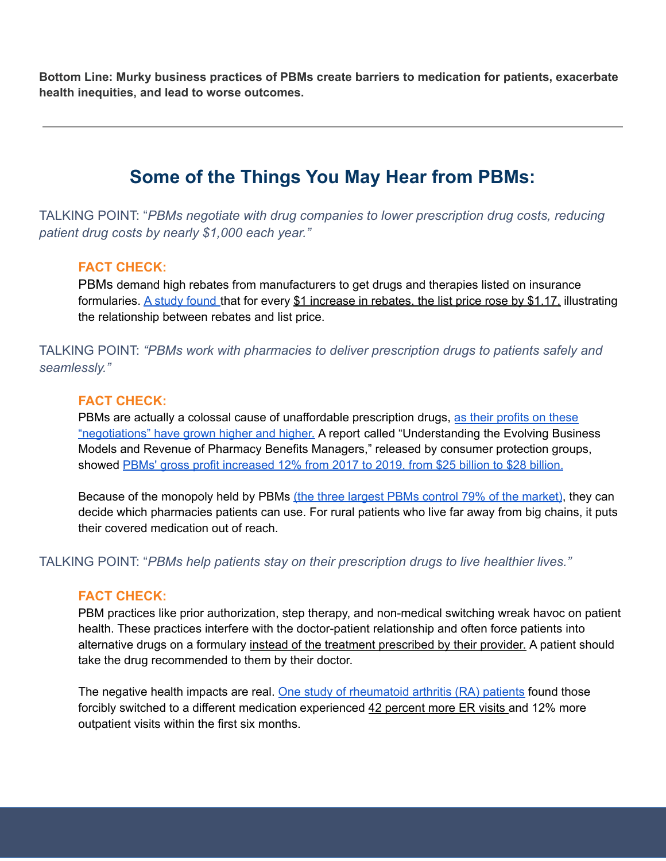**Bottom Line: Murky business practices of PBMs create barriers to medication for patients, exacerbate health inequities, and lead to worse outcomes.**

# **Some of the Things You May Hear from PBMs:**

TALKING POINT: "*PBMs negotiate with drug companies to lower prescription drug costs, reducing patient drug costs by nearly \$1,000 each year."*

### **FACT CHECK:**

PBMs demand high rebates from manufacturers to get drugs and therapies listed on insurance formularies. A study [found](https://healthpolicy.usc.edu/article/new-evidence-shows-prescription-drug-rebates-play-a-role-in-increasing-list-prices/) that for every \$1 increase in rebates, the list price rose by \$1.17, illustrating the relationship between rebates and list price.

TALKING POINT: *"PBMs work with pharmacies to deliver prescription drugs to patients safely and seamlessly."*

### **FACT CHECK:**

PBMs are actually a colossal cause of unaffordable prescription drugs, as their [profits](https://www.pewtrusts.org/en/research-and-analysis/blogs/stateline/2019/02/12/drug-price-debate-targets-pharmacy-benefit-managers) on these ["negotiations"](https://www.pewtrusts.org/en/research-and-analysis/blogs/stateline/2019/02/12/drug-price-debate-targets-pharmacy-benefit-managers) have grown higher and higher. A report called "Understanding the Evolving Business Models and Revenue of Pharmacy Benefits Managers," released by consumer protection groups, showed PBMs' gross profit [increased](https://www.beckershospitalreview.com/pharmacy/pbms-profits-are-increasing-while-their-revenue-sources-remain-unclear-report-says.html#:~:text=The%20report%20showed%20that%20the,of%20these%20profits%20changed%20significantly) 12% from 2017 to 2019, from \$25 billion to \$28 billion.

Because of the monopoly held by PBMs (the three largest PBMs control 79% of the [market\)](https://www.beckershospitalreview.com/pharmacy/pbms-ranked-by-market-share-cvs-caremark-is-no-1.html), they can decide which pharmacies patients can use. For rural patients who live far away from big chains, it puts their covered medication out of reach.

TALKING POINT: "*PBMs help patients stay on their prescription drugs to live healthier lives."*

### **FACT CHECK:**

PBM practices like prior authorization, step therapy, and non-medical switching wreak havoc on patient health. These practices interfere with the doctor-patient relationship and often force patients into alternative drugs on a formulary instead of the treatment prescribed by their provider. A patient should take the drug recommended to them by their doctor.

The negative health impacts are real. One study of [rheumatoid](https://patientsrisingnow.org/fighting-nonmedical-switching/#:~:text=Under%20a%20practice%20known%20as,financial%20reasons%2C%20not%20medical%20ones) arthritis (RA) patients found those forcibly switched to a different medication experienced 42 percent more ER visits and 12% more outpatient visits within the first six months.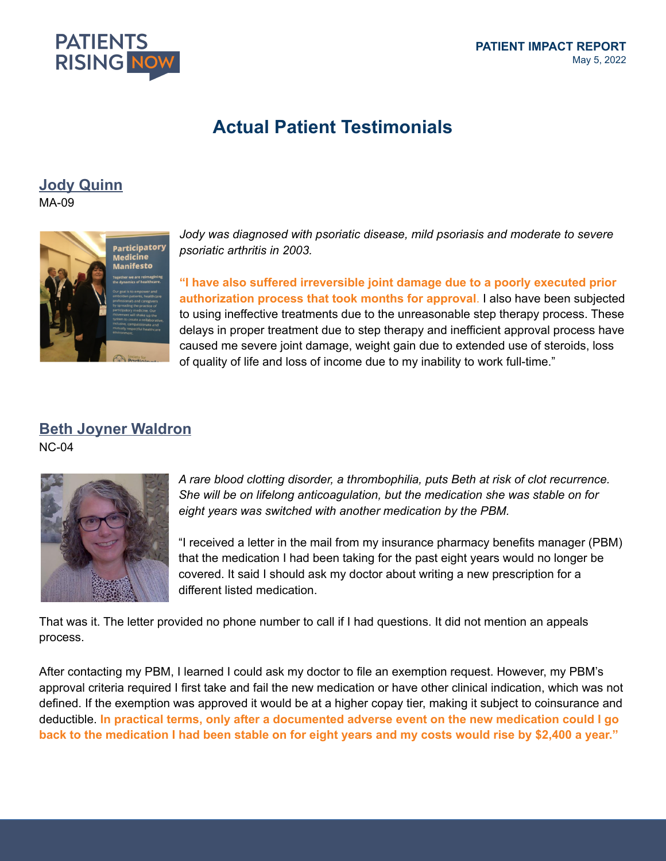

# **Actual Patient Testimonials**

# **Jody [Quinn](https://patientsrisingstories.org/story/psoriasis-step-therapy-community-advocacy/)**

MA-09



*Jody was diagnosed with psoriatic disease, mild psoriasis and moderate to severe psoriatic arthritis in 2003.*

**"I have also suffered irreversible joint damage due to a poorly executed prior authorization process that took months for approval**. I also have been subjected to using ineffective treatments due to the unreasonable step therapy process. These delays in proper treatment due to step therapy and inefficient approval process have caused me severe joint damage, weight gain due to extended use of steroids, loss of quality of life and loss of income due to my inability to work full-time."

# **Beth Joyner [Waldron](https://patientsrisingstories.org/story/pbm-switching-drug-without-doctors-permission/)**

NC-04



*A rare blood clotting disorder, a thrombophilia, puts Beth at risk of clot recurrence. She will be on lifelong anticoagulation, but the medication she was stable on for eight years was switched with another medication by the PBM.*

"I received a letter in the mail from my insurance pharmacy benefits manager (PBM) that the medication I had been taking for the past eight years would no longer be covered. It said I should ask my doctor about writing a new prescription for a different listed medication.

That was it. The letter provided no phone number to call if I had questions. It did not mention an appeals process.

After contacting my PBM, I learned I could ask my doctor to file an exemption request. However, my PBM's approval criteria required I first take and fail the new medication or have other clinical indication, which was not defined. If the exemption was approved it would be at a higher copay tier, making it subject to coinsurance and deductible. **In practical terms, only after a documented adverse event on the new medication could I go** back to the medication I had been stable on for eight years and my costs would rise by \$2,400 a year."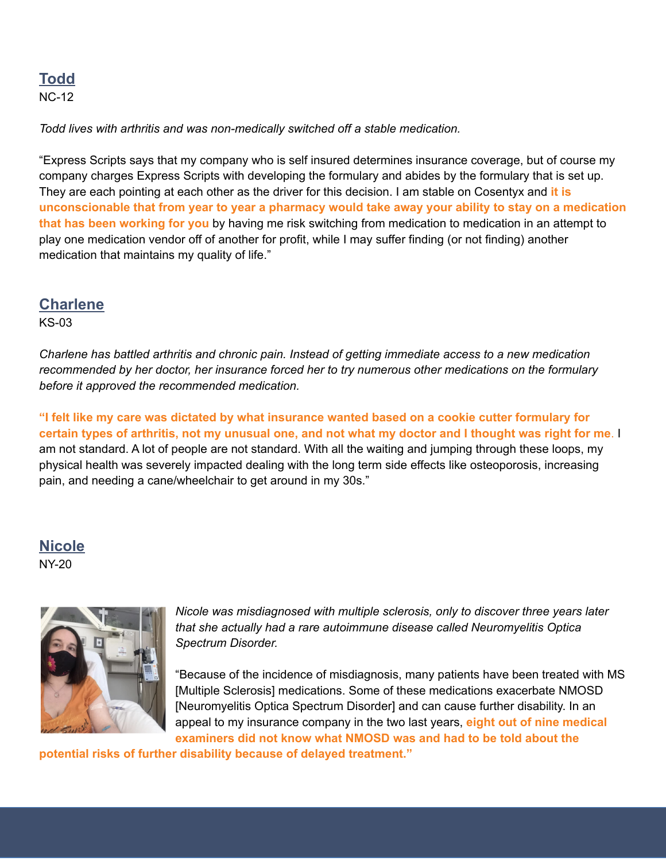# **[Todd](https://patientsrisingstories.org/story/todd-forced-off-working-therapy/)** NC-12

*Todd lives with arthritis and was non-medically switched off a stable medication.*

"Express Scripts says that my company who is self insured determines insurance coverage, but of course my company charges Express Scripts with developing the formulary and abides by the formulary that is set up. They are each pointing at each other as the driver for this decision. I am stable on Cosentyx and **it is** unconscionable that from year to year a pharmacy would take away your ability to stay on a medication **that has been working for you** by having me risk switching from medication to medication in an attempt to play one medication vendor off of another for profit, while I may suffer finding (or not finding) another medication that maintains my quality of life."

## **[Charlene](https://patientsrisingstories.org/story/step-therapy-arthritis-long-journey/)**

KS-03

*Charlene has battled arthritis and chronic pain. Instead of getting immediate access to a new medication recommended by her doctor, her insurance forced her to try numerous other medications on the formulary before it approved the recommended medication.*

**"I felt like my care was dictated by what insurance wanted based on a cookie cutter formulary for** certain types of arthritis, not my unusual one, and not what my doctor and I thought was right for me. I am not standard. A lot of people are not standard. With all the waiting and jumping through these loops, my physical health was severely impacted dealing with the long term side effects like osteoporosis, increasing pain, and needing a cane/wheelchair to get around in my 30s."

## **[Nicole](https://patientsrisingstories.org/story/nmosd-and-step-therapy/)** NY-20



*Nicole was misdiagnosed with multiple sclerosis, only to discover three years later that she actually had a rare autoimmune disease called Neuromyelitis Optica Spectrum Disorder.*

"Because of the incidence of misdiagnosis, many patients have been treated with MS [Multiple Sclerosis] medications. Some of these medications exacerbate NMOSD [Neuromyelitis Optica Spectrum Disorder] and can cause further disability. In an appeal to my insurance company in the two last years, **eight out of nine medical examiners did not know what NMOSD was and had to be told about the**

**potential risks of further disability because of delayed treatment."**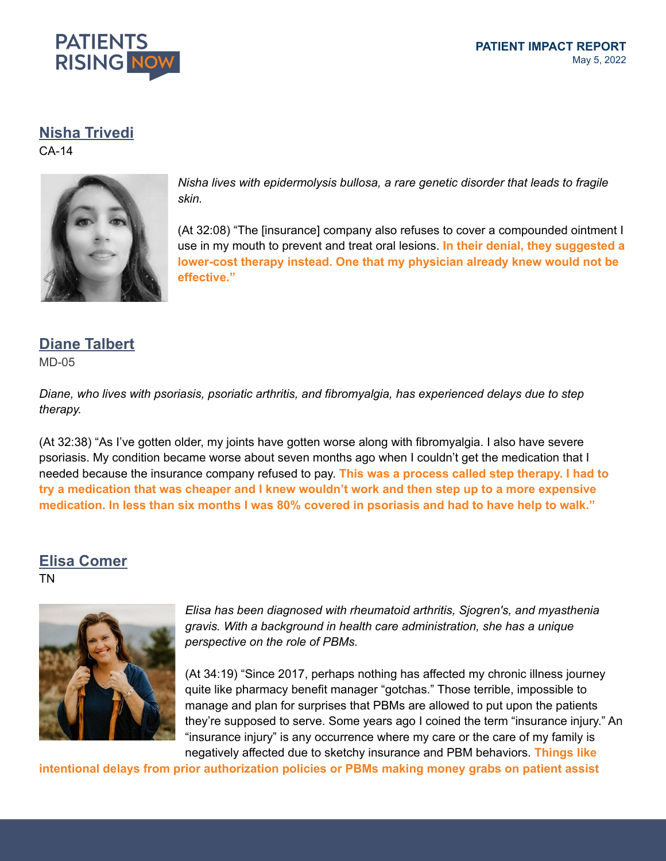

## **Nisha [Trivedi](https://www.patientsrisingpodcast.org/how-to-humanize-healthcare/)**

CA-14



*Nisha lives with epidermolysis bullosa, a rare genetic disorder that leads to fragile skin.*

(At 32:08) "The [insurance] company also refuses to cover a compounded ointment I use in my mouth to prevent and treat oral lesions. **In their denial, they suggested a lower-cost therapy instead. One that my physician already knew would not be effective."**

## **Diane [Talbert](https://www.patientsrisingpodcast.org/take-control-of-your-health-data/)**

MD-05

*Diane, who lives with psoriasis, psoriatic arthritis, and fibromyalgia, has experienced delays due to step therapy.*

(At 32:38) "As I've gotten older, my joints have gotten worse along with fibromyalgia. I also have severe psoriasis. My condition became worse about seven months ago when I couldn't get the medication that I needed because the insurance company refused to pay. **This was a process called step therapy. I had to** try a medication that was cheaper and I knew wouldn't work and then step up to a more expensive medication. In less than six months I was 80% covered in psoriasis and had to have help to walk."

# **Elisa [Comer](https://www.patientsrisingpodcast.org/how-pbms-raise-costs-for-patients-pharmacies/)**

TN



*Elisa has been diagnosed with rheumatoid arthritis, Sjogren's, and myasthenia gravis. With a background in health care administration, she has a unique perspective on the role of PBMs.*

(At 34:19) "Since 2017, perhaps nothing has affected my chronic illness journey quite like pharmacy benefit manager "gotchas." Those terrible, impossible to manage and plan for surprises that PBMs are allowed to put upon the patients they're supposed to serve. Some years ago I coined the term "insurance injury." An "insurance injury" is any occurrence where my care or the care of my family is negatively affected due to sketchy insurance and PBM behaviors. **Things like**

**intentional delays from prior authorization policies or PBMs making money grabs on patient assist**